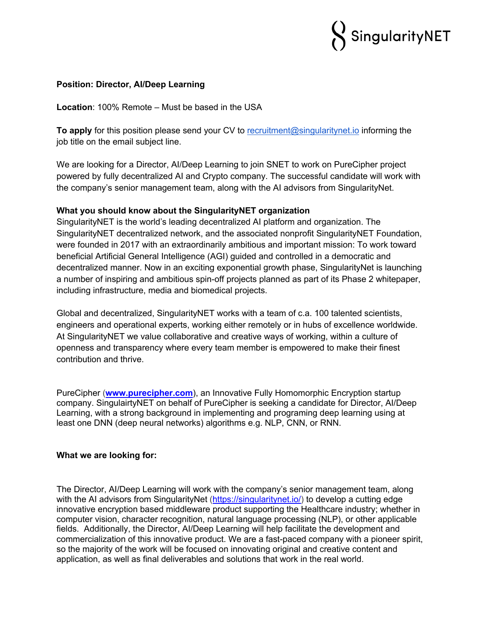

#### **Position: Director, AI/Deep Learning**

**Location**: 100% Remote – Must be based in the USA

**To apply** for this position please send your CV to recruitment@singularitynet.io informing the job title on the email subject line.

We are looking for a Director, AI/Deep Learning to join SNET to work on PureCipher project powered by fully decentralized AI and Crypto company. The successful candidate will work with the company's senior management team, along with the AI advisors from SingularityNet.

# **What you should know about the SingularityNET organization**

SingularityNET is the world's leading decentralized AI platform and organization. The SingularityNET decentralized network, and the associated nonprofit SingularityNET Foundation, were founded in 2017 with an extraordinarily ambitious and important mission: To work toward beneficial Artificial General Intelligence (AGI) guided and controlled in a democratic and decentralized manner. Now in an exciting exponential growth phase, SingularityNet is launching a number of inspiring and ambitious spin-off projects planned as part of its Phase 2 whitepaper, including infrastructure, media and biomedical projects.

Global and decentralized, SingularityNET works with a team of c.a. 100 talented scientists, engineers and operational experts, working either remotely or in hubs of excellence worldwide. At SingularityNET we value collaborative and creative ways of working, within a culture of openness and transparency where every team member is empowered to make their finest contribution and thrive.

PureCipher (**www.purecipher.com**), an Innovative Fully Homomorphic Encryption startup company. SingulairtyNET on behalf of PureCipher is seeking a candidate for Director, AI/Deep Learning, with a strong background in implementing and programing deep learning using at least one DNN (deep neural networks) algorithms e.g. NLP, CNN, or RNN.

#### **What we are looking for:**

The Director, AI/Deep Learning will work with the company's senior management team, along with the AI advisors from SingularityNet (https://singularitynet.io/) to develop a cutting edge innovative encryption based middleware product supporting the Healthcare industry; whether in computer vision, character recognition, natural language processing (NLP), or other applicable fields. Additionally, the Director, AI/Deep Learning will help facilitate the development and commercialization of this innovative product. We are a fast-paced company with a pioneer spirit, so the majority of the work will be focused on innovating original and creative content and application, as well as final deliverables and solutions that work in the real world.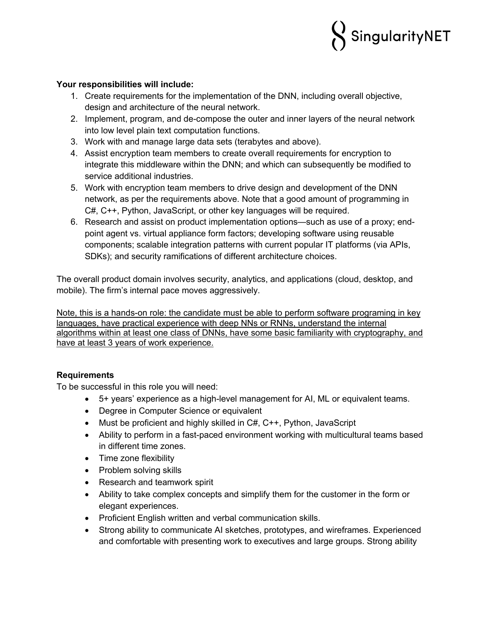

## **Your responsibilities will include:**

- 1. Create requirements for the implementation of the DNN, including overall objective, design and architecture of the neural network.
- 2. Implement, program, and de-compose the outer and inner layers of the neural network into low level plain text computation functions.
- 3. Work with and manage large data sets (terabytes and above).
- 4. Assist encryption team members to create overall requirements for encryption to integrate this middleware within the DNN; and which can subsequently be modified to service additional industries.
- 5. Work with encryption team members to drive design and development of the DNN network, as per the requirements above. Note that a good amount of programming in C#, C++, Python, JavaScript, or other key languages will be required.
- 6. Research and assist on product implementation options—such as use of a proxy; endpoint agent vs. virtual appliance form factors; developing software using reusable components; scalable integration patterns with current popular IT platforms (via APIs, SDKs); and security ramifications of different architecture choices.

The overall product domain involves security, analytics, and applications (cloud, desktop, and mobile). The firm's internal pace moves aggressively.

Note, this is a hands-on role: the candidate must be able to perform software programing in key languages, have practical experience with deep NNs or RNNs, understand the internal algorithms within at least one class of DNNs, have some basic familiarity with cryptography, and have at least 3 years of work experience.

# **Requirements**

To be successful in this role you will need:

- 5+ years' experience as a high-level management for AI, ML or equivalent teams.
- Degree in Computer Science or equivalent
- Must be proficient and highly skilled in C#, C++, Python, JavaScript
- Ability to perform in a fast-paced environment working with multicultural teams based in different time zones.
- Time zone flexibility
- Problem solving skills
- Research and teamwork spirit
- Ability to take complex concepts and simplify them for the customer in the form or elegant experiences.
- Proficient English written and verbal communication skills.
- Strong ability to communicate AI sketches, prototypes, and wireframes. Experienced and comfortable with presenting work to executives and large groups. Strong ability